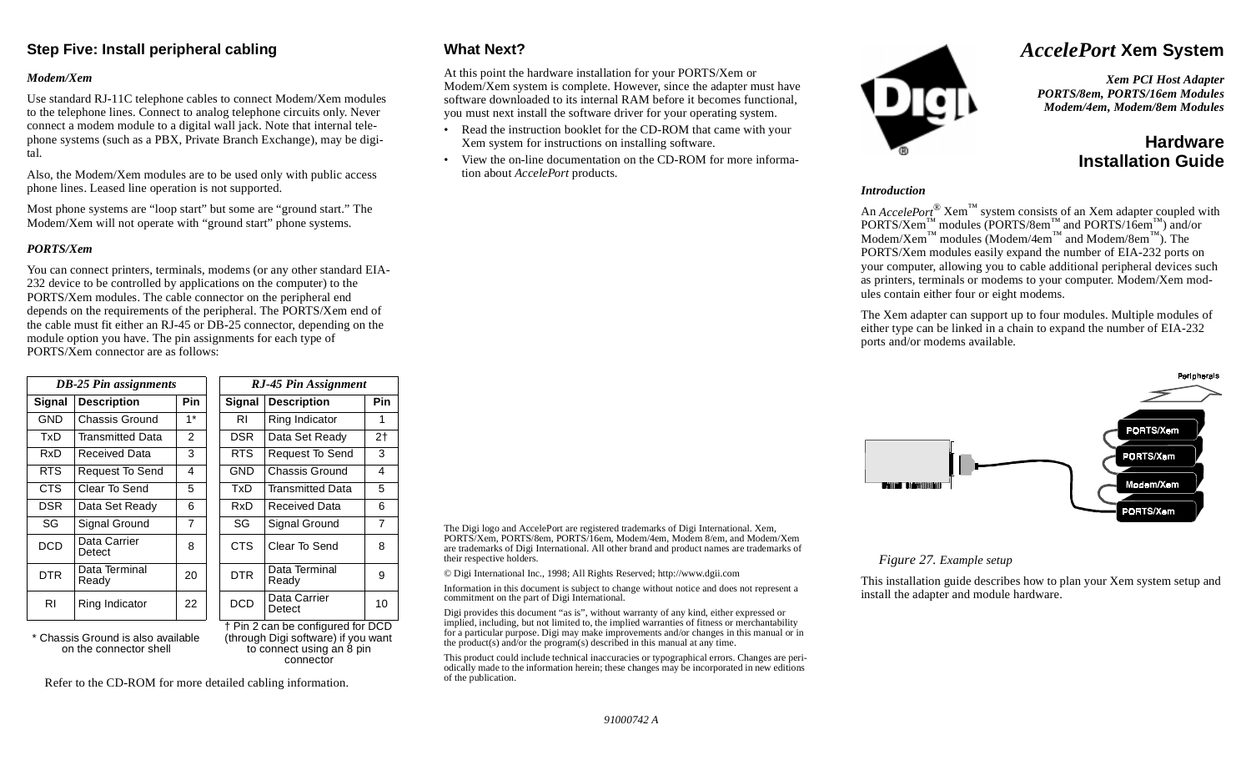## **Step Five: Install peripheral cabling**

### *Modem/Xem*

Use standard RJ-11C telephone cables to connect Modem/Xem modules to the telephone lines. Connect to analog telephone circuits only. Never connect a modem module to a digital wall jack. Note that internal telephone systems (such as a PBX, Private Branch Exchange), may be digital.

Also, the Modem/Xem modules are to be used only with public access phone lines. Leased line operation is not supported.

Most phone systems are "loop start" but some are "ground start." The Modem/Xem will not operate with "ground start" phone systems.

### *PORTS/Xem*

You can connect printers, terminals, modems (or any other standard EIA-232 device to be controlled by applications on the computer) to the PORTS/Xem modules. The cable connector on the peripheral end depends on the requirements of the peripheral. The PORTS/Xem end of the cable must fit either an RJ-45 or DB-25 connector, depending on the module option you have. The pin assignments for each type of PORTS/Xem connector are as follows:

| <b>DB-25 Pin assignments</b> |                         |            | RJ-45 Pin Assignment |                        |                |
|------------------------------|-------------------------|------------|----------------------|------------------------|----------------|
| <b>Signal</b>                | <b>Description</b>      | <b>Pin</b> | <b>Signal</b>        | <b>Description</b>     | Pin            |
| <b>GND</b>                   | Chassis Ground          | $1*$       | RI                   | Ring Indicator         | 1              |
| TxD                          | <b>Transmitted Data</b> | 2          | <b>DSR</b>           | Data Set Ready         | 2 <sub>1</sub> |
| RxD                          | <b>Received Data</b>    | 3          | RTS.                 | <b>Request To Send</b> | 3              |
| <b>RTS</b>                   | Request To Send         | 4          | <b>GND</b>           | Chassis Ground         | 4              |
| CTS.                         | Clear To Send           | 5          | TxD                  | Transmitted Data       | 5              |
| <b>DSR</b>                   | Data Set Ready          | 6          | RxD                  | Received Data          | 6              |
| SG                           | Signal Ground           | 7          | SG                   | Signal Ground          | 7              |
| <b>DCD</b>                   | Data Carrier<br>Detect  | 8          | <b>CTS</b>           | Clear To Send          | 8              |
| DTR.                         | Data Terminal<br>Ready  | 20         | <b>DTR</b>           | Data Terminal<br>Ready | 9              |
| RI                           | Ring Indicator          | 22         | <b>DCD</b>           | Data Carrier<br>Detect | 10             |

\* Chassis Ground is also available on the connector shell

† Pin 2 can be configured for DCD (through Digi software) if you want to connect using an 8 pin connector

Refer to the CD-ROM for more detailed cabling information.

## **What Next?**

their respective holders.

of the publication.

commitment on the part of Digi International.

At this point the hardware installation for your PORTS/Xem or Modem/Xem system is complete. However, since the adapter must have software downloaded to its internal RAM before it becomes functional, you must next install the software driver for your operating system.

- • Read the instruction booklet for the CD-ROM that came with your Xem system for instructions on installing software.
- View the on-line documentation on the CD-ROM for more information about *AccelePort* products.



# *AccelePort* **Xem System**

*Xem PCI Host Adapter PORTS/8em, PORTS/16em Modules Modem/4em, Modem/8em Modules*

# **HardwareInstallation Guide**

#### *Introduction*

An *AccelePort*® Xem™ system consists of an Xem adapter coupled with  $PORTS/Xem$ <sup>™</sup> modules (PORTS/8em<sup>™</sup> and PORTS/16em<sup>™</sup>) and/or  $\text{Modern/Xem}^{\text{TM}}$  modules (Modem/4em<sup>™</sup> and Modem/8em<sup>™</sup>). The PORTS/Xem modules easily expand the number of EIA-232 ports on your computer, allowing you to cable additional peripheral devices such as printers, terminals or modems to your computer. Modem/Xem modules contain either four or eight modems.

The Xem adapter can support up to four modules. Multiple modules of either type can be linked in a chain to expand the number of EIA-232 ports and/or modems available.



### *Figure 27. Example setup*

This installation guide describes how to plan your Xem system setup and install the adapter and module hardware.

*91000742 A*

The Digi logo and AccelePort are registered trademarks of Digi International. Xem, PORTS/Xem, PORTS/8em, PORTS/16em, Modem/4em, Modem 8/em, and Modem/Xem are trademarks of Digi International. All other brand and product names are trademarks of

Information in this document is subject to change without notice and does not represent a

This product could include technical inaccuracies or typographical errors. Changes are periodically made to the information herein; these changes may be incorporated in new editions

Digi provides this document "as is", without warranty of any kind, either expressed or implied, including, but not limited to, the implied warranties of fitness or merchantability for a particular purpose. Digi may make improvements and/or changes in this manual or in

© Digi International Inc., 1998; All Rights Reserved; http://www.dgii.com

the product(s) and/or the program(s) described in this manual at any time.